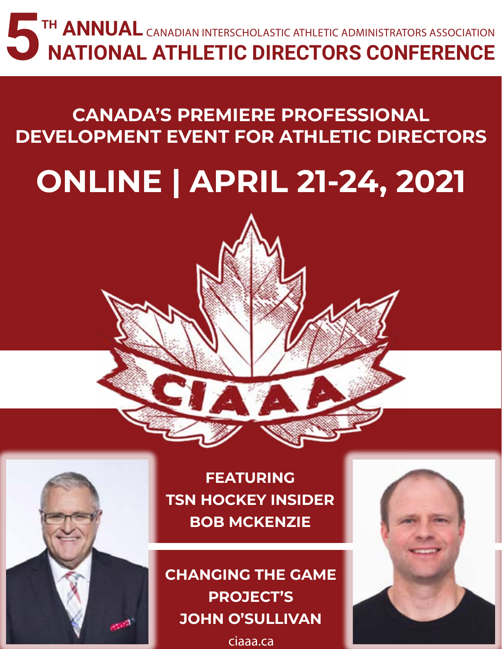## **5**TH ANNUAL **NATIONAL ATHLETIC DIRECTORS CONFERENCE** CANADIAN INTERSCHOLASTIC ATHLETIC ADMINISTRATORS ASSOCIATION

## **CANADA'S PREMIERE PROFESSIONAL DEVELOPMENT EVENT FOR ATHLETIC DIRECTORS**

# **ONLINE | APRIL 21-24, 2021**

## **FEATURING TSN HOCKEY INSIDER BOB MCKENZIE**

**CHANGING THE GAME PROJECT'S JOHN O'SULLIVAN**

[ciaaa.ca](http://ciaaa.ca)

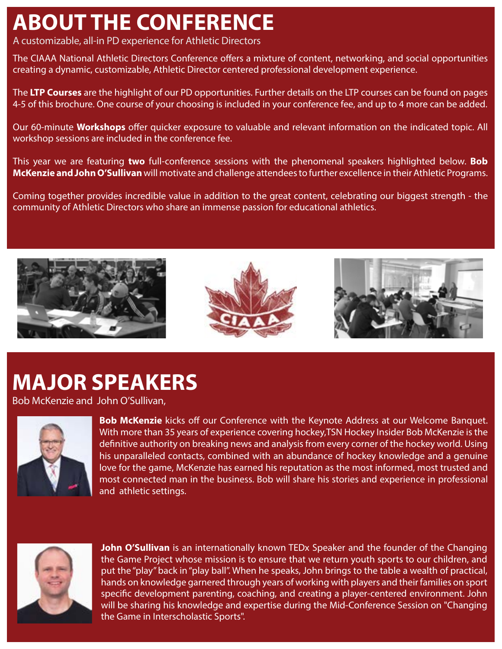## **ABOUT THE CONFERENCE**

A customizable, all-in PD experience for Athletic Directors

The CIAAA National Athletic Directors Conference offers a mixture of content, networking, and social opportunities creating a dynamic, customizable, Athletic Director centered professional development experience.

The **LTP Courses** are the highlight of our PD opportunities. Further details on the LTP courses can be found on pages 4-5 of this brochure. One course of your choosing is included in your conference fee, and up to 4 more can be added.

Our 60-minute **Workshops** offer quicker exposure to valuable and relevant information on the indicated topic. All workshop sessions are included in the conference fee.

This year we are featuring **two** full-conference sessions with the phenomenal speakers highlighted below. **Bob McKenzie and John O'Sullivan** will motivate and challenge attendees to further excellence in their Athletic Programs.

Coming together provides incredible value in addition to the great content, celebrating our biggest strength - the community of Athletic Directors who share an immense passion for educational athletics.







## **MAJOR SPEAKERS**

Bob McKenzie and John O'Sullivan,



**Bob McKenzie** kicks off our Conference with the Keynote Address at our Welcome Banquet. With more than 35 years of experience covering hockey,TSN Hockey Insider Bob McKenzie is the definitive authority on breaking news and analysis from every corner of the hockey world. Using his unparalleled contacts, combined with an abundance of hockey knowledge and a genuine love for the game, McKenzie has earned his reputation as the most informed, most trusted and most connected man in the business. Bob will share his stories and experience in professional and athletic settings.



**John O'Sullivan** is an internationally known TEDx Speaker and the founder of the Changing the Game Project whose mission is to ensure that we return youth sports to our children, and put the "play" back in "play ball". When he speaks, John brings to the table a wealth of practical, hands on knowledge garnered through years of working with players and their families on sport specific development parenting, coaching, and creating a player-centered environment. John will be sharing his knowledge and expertise during the Mid-Conference Session on "Changing the Game in Interscholastic Sports".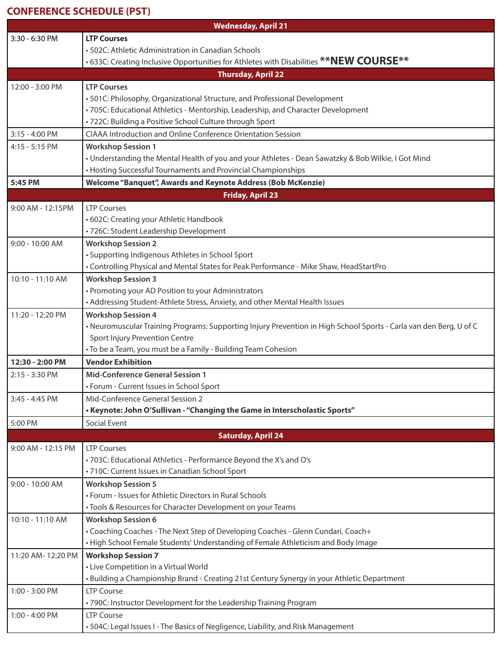#### **CONFERENCE SCHEDULE (PST)**

| <b>Wednesday, April 21</b> |                                                                                                                    |  |  |  |
|----------------------------|--------------------------------------------------------------------------------------------------------------------|--|--|--|
| 3:30 - 6:30 PM             | <b>LTP Courses</b>                                                                                                 |  |  |  |
|                            | • 502C: Athletic Administration in Canadian Schools                                                                |  |  |  |
|                            | •633C: Creating Inclusive Opportunities for Athletes with Disabilities **NEW COURSE**                              |  |  |  |
|                            | <b>Thursday, April 22</b>                                                                                          |  |  |  |
| 12:00 - 3:00 PM            | <b>LTP Courses</b>                                                                                                 |  |  |  |
|                            | • 501C: Philosophy, Organizational Structure, and Professional Development                                         |  |  |  |
|                            | • 705C: Educational Athletics - Mentorship, Leadership, and Character Development                                  |  |  |  |
|                            | • 722C: Building a Positive School Culture through Sport                                                           |  |  |  |
| 3:15 - 4:00 PM             | CIAAA Introduction and Online Conference Orientation Session                                                       |  |  |  |
| 4:15 - 5:15 PM             | <b>Workshop Session 1</b>                                                                                          |  |  |  |
|                            | . Understanding the Mental Health of you and your Athletes - Dean Sawatzky & Bob Wilkie, I Got Mind                |  |  |  |
|                            | • Hosting Successful Tournaments and Provincial Championships                                                      |  |  |  |
| 5:45 PM                    | Welcome "Banquet", Awards and Keynote Address (Bob McKenzie)                                                       |  |  |  |
| <b>Friday, April 23</b>    |                                                                                                                    |  |  |  |
| 9:00 AM - 12:15PM          | <b>LTP Courses</b>                                                                                                 |  |  |  |
|                            | • 602C: Creating your Athletic Handbook                                                                            |  |  |  |
|                            | · 726C: Student Leadership Development                                                                             |  |  |  |
| 9:00 - 10:00 AM            | <b>Workshop Session 2</b>                                                                                          |  |  |  |
|                            | • Supporting Indigenous Athletes in School Sport                                                                   |  |  |  |
|                            | • Controlling Physical and Mental States for Peak Performance - Mike Shaw, HeadStartPro                            |  |  |  |
| 10:10 - 11:10 AM           | <b>Workshop Session 3</b>                                                                                          |  |  |  |
|                            | • Promoting your AD Position to your Administrators                                                                |  |  |  |
|                            | • Addressing Student-Athlete Stress, Anxiety, and other Mental Health Issues                                       |  |  |  |
| 11:20 - 12:20 PM           | <b>Workshop Session 4</b>                                                                                          |  |  |  |
|                            | • Neuromuscular Training Programs: Supporting Injury Prevention in High School Sports - Carla van den Berg, U of C |  |  |  |
|                            | Sport Injury Prevention Centre                                                                                     |  |  |  |
|                            | • To be a Team, you must be a Family - Building Team Cohesion                                                      |  |  |  |
| 12:30 - 2:00 PM            | <b>Vendor Exhibition</b>                                                                                           |  |  |  |
| 2:15 - 3:30 PM             | <b>Mid-Conference General Session 1</b>                                                                            |  |  |  |
|                            | • Forum - Current Issues in School Sport                                                                           |  |  |  |
| 3:45 - 4:45 PM             | Mid-Conference General Session 2                                                                                   |  |  |  |
|                            | • Keynote: John O'Sullivan - "Changing the Game in Interscholastic Sports"                                         |  |  |  |
| 5:00 PM                    | Social Event                                                                                                       |  |  |  |
|                            | <b>Saturday, April 24</b>                                                                                          |  |  |  |
| 9:00 AM - 12:15 PM         | <b>LTP Courses</b>                                                                                                 |  |  |  |
|                            | • 703C: Educational Athletics - Performance Beyond the X's and O's                                                 |  |  |  |
|                            | · 710C: Current Issues in Canadian School Sport                                                                    |  |  |  |
| 9:00 - 10:00 AM            | <b>Workshop Session 5</b>                                                                                          |  |  |  |
|                            | • Forum - Issues for Athletic Directors in Rural Schools                                                           |  |  |  |
|                            | • Tools & Resources for Character Development on your Teams                                                        |  |  |  |
| 10:10 - 11:10 AM           | <b>Workshop Session 6</b>                                                                                          |  |  |  |
|                            | • Coaching Coaches - The Next Step of Developing Coaches - Glenn Cundari, Coach+                                   |  |  |  |
|                            | • High School Female Students' Understanding of Female Athleticism and Body Image                                  |  |  |  |
| 11:20 AM-12:20 PM          | <b>Workshop Session 7</b>                                                                                          |  |  |  |
|                            | • Live Competition in a Virtual World                                                                              |  |  |  |
|                            | • Building a Championship Brand - Creating 21st Century Synergy in your Athletic Department                        |  |  |  |
| 1:00 - 3:00 PM             | <b>LTP Course</b>                                                                                                  |  |  |  |
|                            | • 790C: Instructor Development for the Leadership Training Program                                                 |  |  |  |
| 1:00 - 4:00 PM             | <b>LTP Course</b>                                                                                                  |  |  |  |
|                            | • 504C: Legal Issues I - The Basics of Negligence, Liability, and Risk Management                                  |  |  |  |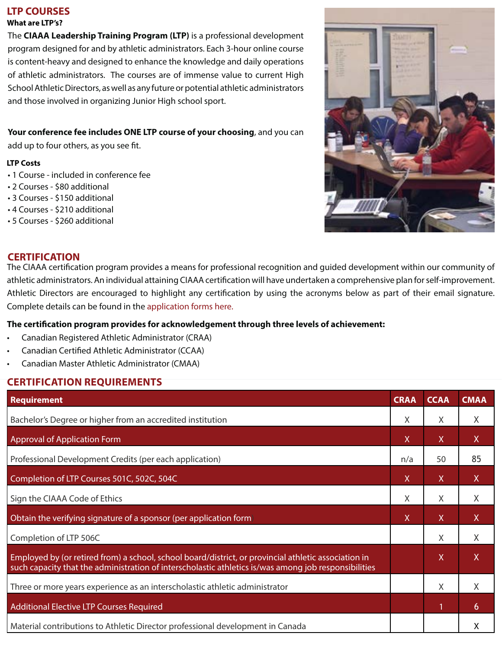#### **LTP COURSES**

**What are LTP's?**

The **CIAAA Leadership Training Program (LTP)** is a professional development program designed for and by athletic administrators. Each 3-hour online course is content-heavy and designed to enhance the knowledge and daily operations of athletic administrators. The courses are of immense value to current High School Athletic Directors, as well as any future or potential athletic administrators and those involved in organizing Junior High school sport.

#### **Your conference fee includes ONE LTP course of your choosing**, and you can

add up to four others, as you see fit.

#### **LTP Costs**

- 1 Course included in conference fee
- 2 Courses \$80 additional
- 3 Courses \$150 additional
- 4 Courses \$210 additional
- 5 Courses \$260 additional



#### **CERTIFICATION**

The CIAAA certification program provides a means for professional recognition and guided development within our community of athletic administrators. An individual attaining CIAAA certification will have undertaken a comprehensive plan for self-improvement. Athletic Directors are encouraged to highlight any certification by using the acronyms below as part of their email signature. Complete details can be found in the [application forms here](https://www.ciaaa.ca/certification).

#### **The certification program provides for acknowledgement through three levels of achievement:**

- Canadian Registered Athletic Administrator (CRAA)
- Canadian Certified Athletic Administrator (CCAA)
- Canadian Master Athletic Administrator (CMAA)

#### **CERTIFICATION REQUIREMENTS**

| Requirement                                                                                                                                                                                                  | <b>CRAA</b> | <b>CCAA</b>  | <b>CMAA</b> |
|--------------------------------------------------------------------------------------------------------------------------------------------------------------------------------------------------------------|-------------|--------------|-------------|
| Bachelor's Degree or higher from an accredited institution                                                                                                                                                   |             | X            | X.          |
| <b>Approval of Application Form</b>                                                                                                                                                                          |             | X            | X.          |
| Professional Development Credits (per each application)                                                                                                                                                      |             | 50           | 85          |
| Completion of LTP Courses 501C, 502C, 504C                                                                                                                                                                   |             | $\mathsf{X}$ | X           |
| Sign the CIAAA Code of Ethics                                                                                                                                                                                |             | X            | X           |
| Obtain the verifying signature of a sponsor (per application form)                                                                                                                                           |             | $\mathsf{X}$ | X           |
| Completion of LTP 506C                                                                                                                                                                                       |             | X            | X           |
| Employed by (or retired from) a school, school board/district, or provincial athletic association in<br>such capacity that the administration of interscholastic athletics is/was among job responsibilities |             | $\mathsf{X}$ | X           |
| Three or more years experience as an interscholastic athletic administrator                                                                                                                                  |             | X            | X           |
| Additional Elective LTP Courses Required                                                                                                                                                                     |             | $\mathbf{1}$ | 6           |
| Material contributions to Athletic Director professional development in Canada                                                                                                                               |             |              | Χ           |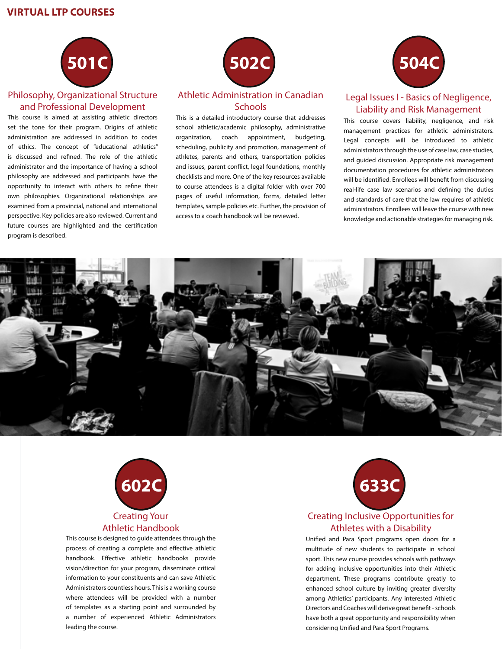#### **VIRTUAL LTP COURSES**



#### Philosophy, Organizational Structure and Professional Development

This course is aimed at assisting athletic directors set the tone for their program. Origins of athletic administration are addressed in addition to codes of ethics. The concept of "educational athletics" is discussed and refined. The role of the athletic administrator and the importance of having a school philosophy are addressed and participants have the opportunity to interact with others to refine their own philosophies. Organizational relationships are examined from a provincial, national and international perspective. Key policies are also reviewed. Current and future courses are highlighted and the certification program is described.



#### Athletic Administration in Canadian **Schools**

This is a detailed introductory course that addresses school athletic/academic philosophy, administrative organization, coach appointment, budgeting, scheduling, publicity and promotion, management of athletes, parents and others, transportation policies and issues, parent conflict, legal foundations, monthly checklists and more. One of the key resources available to course attendees is a digital folder with over 700 pages of useful information, forms, detailed letter templates, sample policies etc. Further, the provision of access to a coach handbook will be reviewed.



#### Legal Issues I - Basics of Negligence, Liability and Risk Management

This course covers liability, negligence, and risk management practices for athletic administrators. Legal concepts will be introduced to athletic administrators through the use of case law, case studies, and guided discussion. Appropriate risk management documentation procedures for athletic administrators will be identified. Enrollees will benefit from discussing real-life case law scenarios and defining the duties and standards of care that the law requires of athletic administrators. Enrollees will leave the course with new knowledge and actionable strategies for managing risk.





This course is designed to guide attendees through the process of creating a complete and effective athletic handbook. Effective athletic handbooks provide vision/direction for your program, disseminate critical information to your constituents and can save Athletic Administrators countless hours. This is a working course where attendees will be provided with a number of templates as a starting point and surrounded by a number of experienced Athletic Administrators leading the course.



#### Creating Inclusive Opportunities for Athletes with a Disability

Unified and Para Sport programs open doors for a multitude of new students to participate in school sport. This new course provides schools with pathways for adding inclusive opportunities into their Athletic department. These programs contribute greatly to enhanced school culture by inviting greater diversity among Athletics' participants. Any interested Athletic Directors and Coaches will derive great benefit - schools have both a great opportunity and responsibility when considering Unified and Para Sport Programs.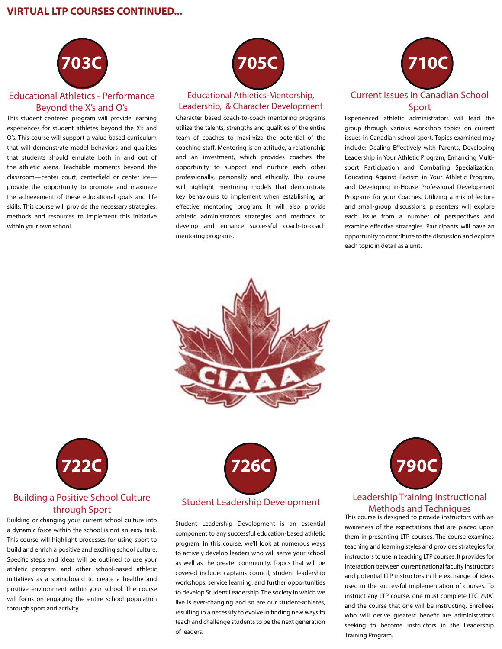#### **VIRTUAL LTP COURSES CONTINUED...**



#### Educational Athletics - Performance Beyond the X's and O's

This student centered program will provide learning experiences for student athletes beyond the X's and O's. This course will support a value based curriculum that will demonstrate model behaviors and qualities that students should emulate both in and out of the athletic arena. Teachable moments beyond the classroom—center court, centerfield or center ice provide the opportunity to promote and maximize the achievement of these educational goals and life skills. This course will provide the necessary strategies, methods and resources to implement this initiative within your own school.



#### Educational Athletics-Mentorship, Leadership, & Character Development

Character based coach-to-coach mentoring programs utilize the talents, strengths and qualities of the entire team of coaches to maximize the potential of the coaching staff. Mentoring is an attitude, a relationship and an investment, which provides coaches the opportunity to support and nurture each other professionally, personally and ethically. This course will highlight mentoring models that demonstrate key behaviours to implement when establishing an effective mentoring program. It will also provide athletic administrators strategies and methods to develop and enhance successful coach-to-coach mentoring programs.



Experienced athletic administrators will lead the group through various workshop topics on current issues in Canadian school sport. Topics examined may include: Dealing Effectively with Parents, Developing Leadership in Your Athletic Program, Enhancing Multisport Participation and Combating Specialization, Educating Against Racism in Your Athletic Program, and Developing in-House Professional Development Programs for your Coaches. Utilizing a mix of lecture and small-group discussions, presenters will explore each issue from a number of perspectives and examine effective strategies. Participants will have an opportunity to contribute to the discussion and explore each topic in detail as a unit.





#### Building a Positive School Culture through Sport

Building or changing your current school culture into a dynamic force within the school is not an easy task. This course will highlight processes for using sport to build and enrich a positive and exciting school culture. Specific steps and ideas will be outlined to use your athletic program and other school-based athletic initiatives as a springboard to create a healthy and positive environment within your school. The course will focus on engaging the entire school population through sport and activity.



#### Student Leadership Development

Student Leadership Development is an essential component to any successful education-based athletic program. In this course, we'll look at numerous ways to actively develop leaders who will serve your school as well as the greater community. Topics that will be covered include: captains council, student leadership workshops, service learning, and further opportunities to develop Student Leadership. The society in which we live is ever-changing and so are our student-athletes, resulting in a necessity to evolve in finding new ways to teach and challenge students to be the next generation of leaders.



#### Leadership Training Instructional Methods and Techniques

This course is designed to provide instructors with an awareness of the expectations that are placed upon them in presenting LTP courses. The course examines teaching and learning styles and provides strategies for instructors to use in teaching LTP courses. It provides for interaction between current national faculty instructors and potential LTP instructors in the exchange of ideas used in the successful implementation of courses. To instruct any LTP course, one must complete LTC 790C and the course that one will be instructing. Enrollees who will derive greatest benefit are administrators seeking to become instructors in the Leadership Training Program.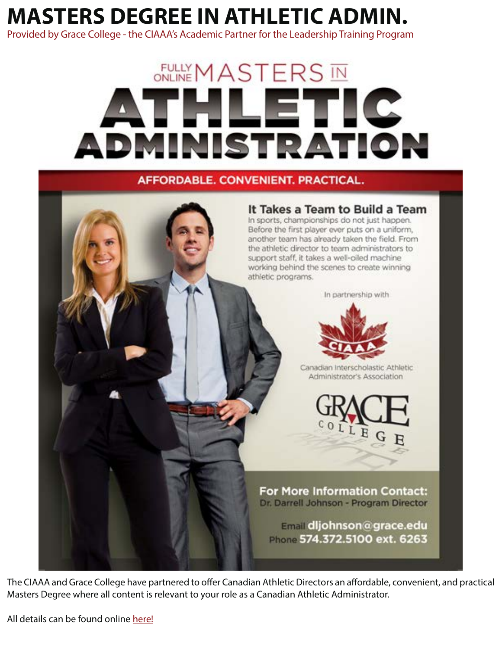## **MASTERS DEGREE IN ATHLETIC ADMIN.**

Provided by Grace College - the CIAAA's Academic Partner for the Leadership Training Program

# **FULLY MASTERS IN** HLETIC DMINISTRATION

AFFORDABLE, CONVENIENT, PRACTICAL,



The CIAAA and Grace College have partnered to offer Canadian Athletic Directors an affordable, convenient, and practical Masters Degree where all content is relevant to your role as a Canadian Athletic Administrator.

All details can be found online [here!](https://www.ciaaa.ca/masters-athletic-admin)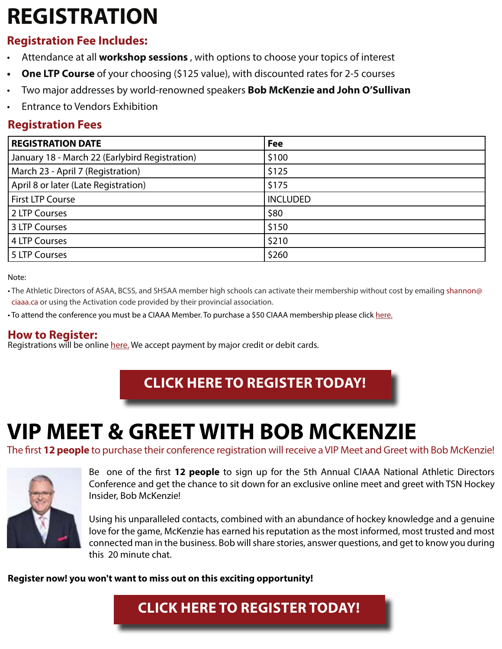## **REGISTRATION**

### **Registration Fee Includes:**

- Attendance at all **workshop sessions** , with options to choose your topics of interest
- **One LTP Course** of your choosing (\$125 value), with discounted rates for 2-5 courses
- Two major addresses by world-renowned speakers **Bob McKenzie and John O'Sullivan**
- Entrance to Vendors Exhibition

### **Registration Fees**

| <b>REGISTRATION DATE</b>                       | <b>Fee</b>      |
|------------------------------------------------|-----------------|
| January 18 - March 22 (Earlybird Registration) | \$100           |
| March 23 - April 7 (Registration)              | \$125           |
| April 8 or later (Late Registration)           | \$175           |
| <b>First LTP Course</b>                        | <b>INCLUDED</b> |
| 2 LTP Courses                                  | \$80            |
| 3 LTP Courses                                  | \$150           |
| 4 LTP Courses                                  | \$210           |
| 5 LTP Courses                                  | \$260           |

Note:

• The Athletic Directors of ASAA, BCSS, and SHSAA member high schools can activate their membership without cost by emailing shanno[n@](mailto:drew%40ciaaa.ca?subject=National%20Conference) [ciaaa.ca](mailto:drew%40ciaaa.ca?subject=National%20Conference) or using the Activation code provided by their provincial association.

• To attend the conference you must be a CIAAA Member. To purchase a \$50 CIAAA membership please click [here.](https://www.ciaaa.ca/members)

#### **How to Register:**

Registrations will be [online](http://https://www.esportsdesk.com/leagues/eventsInclude.cfm?clientid=5846) [here.](https://www.esportsdesk.com/leagues/eventsInclude.cfm?clientid=5846) We accept payment by major credit or debit cards.

### **[CLICK HERE TO REGISTER TODAY!](https://www.esportsdesk.com/leagues/eventsInclude.cfm?clientid=5846)**

## **VIP MEET & GREET WITH BOB MCKENZIE**

The first **12 people** to purchase their conference registration will receive a VIP Meet and Greet with Bob McKenzie!



Be one of the first **12 people** to sign up for the 5th Annual CIAAA National Athletic Directors Conference and get the chance to sit down for an exclusive online meet and greet with TSN Hockey Insider, Bob McKenzie!

Using his unparalleled contacts, combined with an abundance of hockey knowledge and a genuine love for the game, McKenzie has earned his reputation as the most informed, most trusted and most connected man in the business. Bob will share stories, answer questions, and get to know you during this 20 minute chat.

**Register now! you won't want to miss out on this exciting opportunity!**

### **[CLICK HERE TO REGISTER TODAY!](https://www.esportsdesk.com/leagues/eventsInclude.cfm?clientid=5846)**